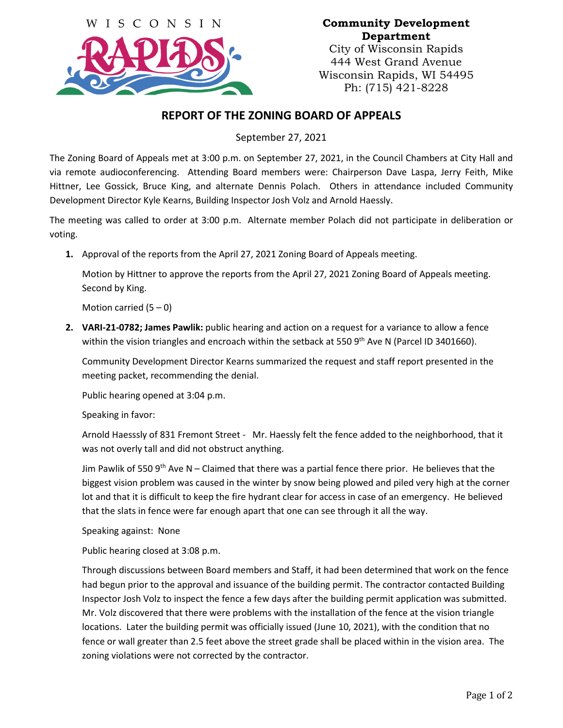

## **Community Development Department**

City of Wisconsin Rapids 444 West Grand Avenue Wisconsin Rapids, WI 54495 Ph: (715) 421-8228

## **REPORT OF THE ZONING BOARD OF APPEALS**

September 27, 2021

The Zoning Board of Appeals met at 3:00 p.m. on September 27, 2021, in the Council Chambers at City Hall and via remote audioconferencing. Attending Board members were: Chairperson Dave Laspa, Jerry Feith, Mike Hittner, Lee Gossick, Bruce King, and alternate Dennis Polach. Others in attendance included Community Development Director Kyle Kearns, Building Inspector Josh Volz and Arnold Haessly.

The meeting was called to order at 3:00 p.m. Alternate member Polach did not participate in deliberation or voting.

**1.** Approval of the reports from the April 27, 2021 Zoning Board of Appeals meeting.

Motion by Hittner to approve the reports from the April 27, 2021 Zoning Board of Appeals meeting. Second by King.

Motion carried  $(5 - 0)$ 

**2. VARI-21-0782; James Pawlik:** public hearing and action on a request for a variance to allow a fence within the vision triangles and encroach within the setback at 550  $9<sup>th</sup>$  Ave N (Parcel ID 3401660).

Community Development Director Kearns summarized the request and staff report presented in the meeting packet, recommending the denial.

Public hearing opened at 3:04 p.m.

Speaking in favor:

Arnold Haesssly of 831 Fremont Street - Mr. Haessly felt the fence added to the neighborhood, that it was not overly tall and did not obstruct anything.

Jim Pawlik of 550  $9<sup>th</sup>$  Ave N – Claimed that there was a partial fence there prior. He believes that the biggest vision problem was caused in the winter by snow being plowed and piled very high at the corner lot and that it is difficult to keep the fire hydrant clear for access in case of an emergency. He believed that the slats in fence were far enough apart that one can see through it all the way.

Speaking against: None

Public hearing closed at 3:08 p.m.

Through discussions between Board members and Staff, it had been determined that work on the fence had begun prior to the approval and issuance of the building permit. The contractor contacted Building Inspector Josh Volz to inspect the fence a few days after the building permit application was submitted. Mr. Volz discovered that there were problems with the installation of the fence at the vision triangle locations. Later the building permit was officially issued (June 10, 2021), with the condition that no fence or wall greater than 2.5 feet above the street grade shall be placed within in the vision area. The zoning violations were not corrected by the contractor.